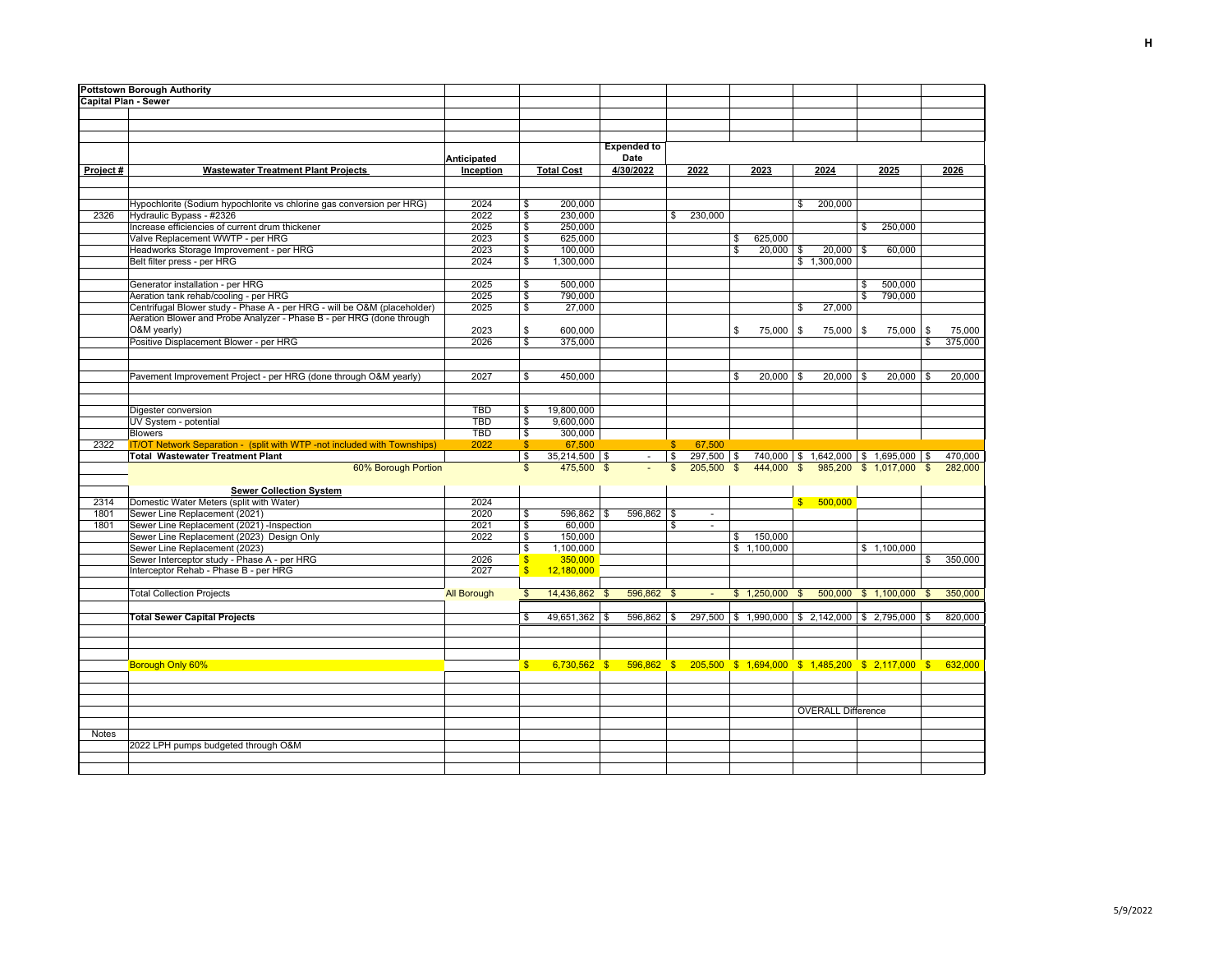| <b>Pottstown Borough Authority</b> |                                                                                        |                    |                                   |                        |                                                                                   |                |                                          |              |                 |              |                                                   |             |         |              |         |
|------------------------------------|----------------------------------------------------------------------------------------|--------------------|-----------------------------------|------------------------|-----------------------------------------------------------------------------------|----------------|------------------------------------------|--------------|-----------------|--------------|---------------------------------------------------|-------------|---------|--------------|---------|
| <b>Capital Plan - Sewer</b>        |                                                                                        |                    |                                   |                        |                                                                                   |                |                                          |              |                 |              |                                                   |             |         |              |         |
|                                    |                                                                                        |                    |                                   |                        |                                                                                   |                |                                          |              |                 |              |                                                   |             |         |              |         |
|                                    |                                                                                        |                    |                                   |                        |                                                                                   |                |                                          |              |                 |              |                                                   |             |         |              |         |
|                                    |                                                                                        |                    |                                   |                        |                                                                                   |                |                                          |              |                 |              |                                                   |             |         |              |         |
|                                    |                                                                                        |                    |                                   |                        | <b>Expended to</b>                                                                |                |                                          |              |                 |              |                                                   |             |         |              |         |
|                                    |                                                                                        | Anticipated        |                                   |                        | Date                                                                              |                |                                          |              |                 |              |                                                   |             |         |              |         |
| Project#                           | <b>Wastewater Treatment Plant Projects</b>                                             | Inception          |                                   | <b>Total Cost</b>      | 4/30/2022                                                                         |                | 2022                                     |              | 2023            |              | 2024                                              | 2025        |         |              | 2026    |
|                                    |                                                                                        |                    |                                   |                        |                                                                                   |                |                                          |              |                 |              |                                                   |             |         |              |         |
|                                    |                                                                                        |                    |                                   |                        |                                                                                   |                |                                          |              |                 |              |                                                   |             |         |              |         |
|                                    | Hypochlorite (Sodium hypochlorite vs chlorine gas conversion per HRG)                  | 2024               | \$                                | 200,000                |                                                                                   |                |                                          |              |                 | \$           | 200,000                                           |             |         |              |         |
| 2326                               | Hydraulic Bypass - #2326                                                               | 2022               | \$                                | 230,000                |                                                                                   | \$             | 230,000                                  |              |                 |              |                                                   |             |         |              |         |
|                                    | Increase efficiencies of current drum thickener                                        | 2025               | \$                                | 250,000                |                                                                                   |                |                                          |              |                 |              |                                                   | \$          | 250,000 |              |         |
|                                    | Valve Replacement WWTP - per HRG                                                       | 2023               | \$                                | 625,000                |                                                                                   |                |                                          | \$           | 625,000         |              |                                                   |             |         |              |         |
|                                    | Headworks Storage Improvement - per HRG                                                | 2023               | \$                                | 100,000                |                                                                                   |                |                                          | $\mathbb{S}$ | $20,000$ \$     |              | $20,000$ \$                                       |             | 60,000  |              |         |
|                                    | Belt filter press - per HRG                                                            | 2024               | \$                                | 1,300,000              |                                                                                   |                |                                          |              |                 |              | \$1,300,000                                       |             |         |              |         |
|                                    |                                                                                        |                    |                                   |                        |                                                                                   |                |                                          |              |                 |              |                                                   |             |         |              |         |
|                                    | Generator installation - per HRG                                                       | 2025               | \$                                | 500,000                |                                                                                   |                |                                          |              |                 |              |                                                   | \$          | 500,000 |              |         |
|                                    | Aeration tank rehab/cooling - per HRG                                                  | 2025               | \$                                | 790,000                |                                                                                   |                |                                          |              |                 |              |                                                   | \$          | 790,000 |              |         |
|                                    | Centrifugal Blower study - Phase A - per HRG - will be O&M (placeholder)               | 2025               | \$                                | 27,000                 |                                                                                   |                |                                          |              |                 | \$           | 27,000                                            |             |         |              |         |
|                                    | Aeration Blower and Probe Analyzer - Phase B - per HRG (done through                   |                    |                                   |                        |                                                                                   |                |                                          |              |                 |              |                                                   |             |         |              |         |
|                                    | O&M yearly)                                                                            | 2023               | \$                                | 600.000                |                                                                                   |                |                                          | \$           | 75,000          | -S           | 75,000 \$                                         |             | 75,000  | \$           | 75,000  |
|                                    | Positive Displacement Blower - per HRG                                                 | 2026               | \$                                | 375,000                |                                                                                   |                |                                          |              |                 |              |                                                   |             |         | \$           | 375,000 |
|                                    |                                                                                        |                    |                                   |                        |                                                                                   |                |                                          |              |                 |              |                                                   |             |         |              |         |
|                                    |                                                                                        |                    |                                   |                        |                                                                                   |                |                                          |              |                 |              |                                                   |             |         |              |         |
|                                    | Pavement Improvement Project - per HRG (done through O&M yearly)                       | 2027               | \$                                | 450,000                |                                                                                   |                |                                          | \$           | 20,000          | \$           | $20,000$ \$                                       |             | 20,000  | \$           | 20,000  |
|                                    |                                                                                        |                    |                                   |                        |                                                                                   |                |                                          |              |                 |              |                                                   |             |         |              |         |
|                                    |                                                                                        |                    |                                   |                        |                                                                                   |                |                                          |              |                 |              |                                                   |             |         |              |         |
|                                    | Digester conversion                                                                    | <b>TBD</b>         | \$                                | 19,800,000             |                                                                                   |                |                                          |              |                 |              |                                                   |             |         |              |         |
|                                    | UV System - potential                                                                  | <b>TBD</b>         | \$                                | 9,600,000              |                                                                                   |                |                                          |              |                 |              |                                                   |             |         |              |         |
|                                    | <b>Blowers</b>                                                                         | <b>TBD</b>         | \$                                | 300,000                |                                                                                   |                |                                          |              |                 |              |                                                   |             |         |              |         |
| 2322                               | IT/OT Network Separation - (split with WTP -not included with Townships)               | 2022               | $\frac{1}{2}$                     | 67,500                 |                                                                                   | \$             | 67,500                                   |              |                 |              |                                                   |             |         |              |         |
|                                    | <b>Total Wastewater Treatment Plant</b>                                                |                    | \$                                | $35,214,500$ \$        | $\sim$                                                                            | \$             | $297,500$ \$                             |              |                 |              | 740,000   \$1,642,000   \$1,695,000               |             |         | -\$          | 470,000 |
|                                    | 60% Borough Portion                                                                    |                    | $\mathfrak{L}$                    | 475,500 \$             |                                                                                   | $\mathfrak{s}$ | 205,500                                  | \$           | 444,000         | $\mathbf{s}$ | 985,200                                           | \$1.017.000 |         | $\mathbb{S}$ | 282,000 |
|                                    |                                                                                        |                    |                                   |                        |                                                                                   |                |                                          |              |                 |              |                                                   |             |         |              |         |
| 2314                               | <b>Sewer Collection System</b>                                                         | 2024               |                                   |                        |                                                                                   |                |                                          |              |                 |              | 500,000                                           |             |         |              |         |
| 1801                               | Domestic Water Meters (split with Water)<br>Sewer Line Replacement (2021)              | 2020               |                                   |                        | $596,862$ \$                                                                      |                |                                          |              |                 | $\mathbf{s}$ |                                                   |             |         |              |         |
|                                    |                                                                                        |                    | \$                                | $596,862$ \$<br>60,000 |                                                                                   |                | $\overline{\phantom{a}}$<br>$\mathbf{r}$ |              |                 |              |                                                   |             |         |              |         |
| 1801                               | Sewer Line Replacement (2021) -Inspection<br>Sewer Line Replacement (2023) Design Only | 2021<br>2022       | \$<br>$\boldsymbol{\hat{\theta}}$ | 150,000                |                                                                                   | \$             |                                          |              | 150,000         |              |                                                   |             |         |              |         |
|                                    | Sewer Line Replacement (2023)                                                          |                    | \$                                | 1,100,000              |                                                                                   |                |                                          | \$           | \$1,100,000     |              |                                                   | \$1,100,000 |         |              |         |
|                                    | Sewer Interceptor study - Phase A - per HRG                                            | 2026               | $\mathbf{\$}$                     | 350,000                |                                                                                   |                |                                          |              |                 |              |                                                   |             |         | \$           | 350,000 |
|                                    | Interceptor Rehab - Phase B - per HRG                                                  | 2027               | $\mathsf{s}$                      | 12.180.000             |                                                                                   |                |                                          |              |                 |              |                                                   |             |         |              |         |
|                                    |                                                                                        |                    |                                   |                        |                                                                                   |                |                                          |              |                 |              |                                                   |             |         |              |         |
|                                    | <b>Total Collection Projects</b>                                                       | <b>All Borough</b> | \$                                | 14,436,862             | 596,862 \$<br>- \$                                                                |                | $\sim$                                   |              | $$1,250,000$ \$ |              | 500,000 \$ 1,100,000                              |             |         | $\mathbf{s}$ | 350,000 |
|                                    |                                                                                        |                    |                                   |                        |                                                                                   |                |                                          |              |                 |              |                                                   |             |         |              |         |
|                                    | <b>Total Sewer Capital Projects</b>                                                    |                    | \$                                | $49,651,362$ \$        | $596,862$ \$                                                                      |                |                                          |              |                 |              | 297,500 \$ 1,990,000 \$ 2,142,000 \$ 2,795,000 \$ |             |         |              | 820,000 |
|                                    |                                                                                        |                    |                                   |                        |                                                                                   |                |                                          |              |                 |              |                                                   |             |         |              |         |
|                                    |                                                                                        |                    |                                   |                        |                                                                                   |                |                                          |              |                 |              |                                                   |             |         |              |         |
|                                    |                                                                                        |                    |                                   |                        |                                                                                   |                |                                          |              |                 |              |                                                   |             |         |              |         |
|                                    |                                                                                        |                    |                                   |                        |                                                                                   |                |                                          |              |                 |              |                                                   |             |         |              |         |
|                                    | Borough Only 60%                                                                       |                    | $S$ . The set of $S$              |                        | 6,730,562 \$ 596,862 \$ 205,500 \$ 1,694,000 \$ 1,485,200 \$ 2,117,000 \$ 632,000 |                |                                          |              |                 |              |                                                   |             |         |              |         |
|                                    |                                                                                        |                    |                                   |                        |                                                                                   |                |                                          |              |                 |              |                                                   |             |         |              |         |
|                                    |                                                                                        |                    |                                   |                        |                                                                                   |                |                                          |              |                 |              |                                                   |             |         |              |         |
|                                    |                                                                                        |                    |                                   |                        |                                                                                   |                |                                          |              |                 |              |                                                   |             |         |              |         |
|                                    |                                                                                        |                    |                                   |                        |                                                                                   |                |                                          |              |                 |              | <b>OVERALL Difference</b>                         |             |         |              |         |
|                                    |                                                                                        |                    |                                   |                        |                                                                                   |                |                                          |              |                 |              |                                                   |             |         |              |         |
| <b>Notes</b>                       |                                                                                        |                    |                                   |                        |                                                                                   |                |                                          |              |                 |              |                                                   |             |         |              |         |
|                                    | 2022 LPH pumps budgeted through O&M                                                    |                    |                                   |                        |                                                                                   |                |                                          |              |                 |              |                                                   |             |         |              |         |
|                                    |                                                                                        |                    |                                   |                        |                                                                                   |                |                                          |              |                 |              |                                                   |             |         |              |         |
|                                    |                                                                                        |                    |                                   |                        |                                                                                   |                |                                          |              |                 |              |                                                   |             |         |              |         |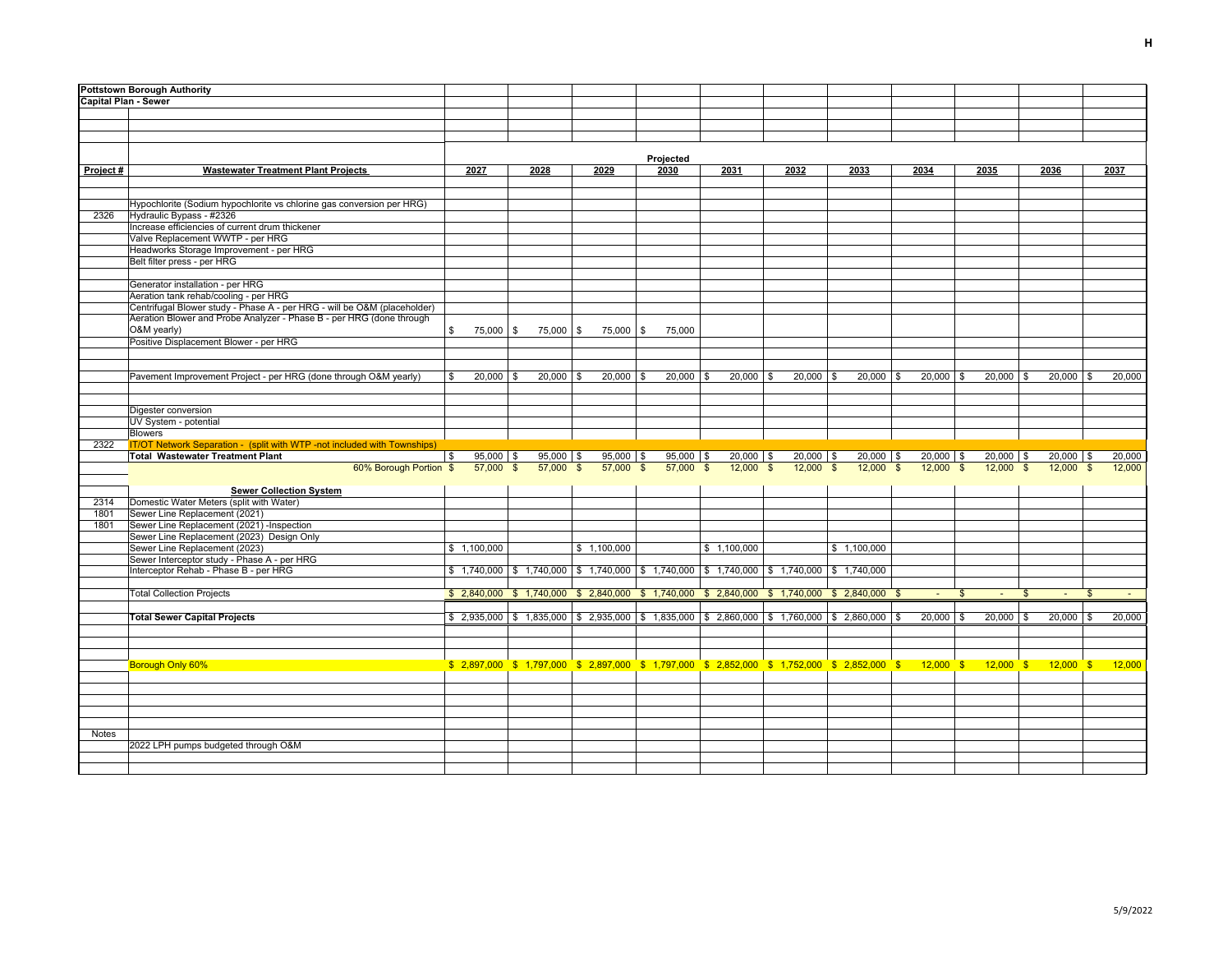|                             | <b>Pottstown Borough Authority</b>                                                                                |                   |              |                        |                  |             |                        |                                                                                                                                                                                                                                                   |             |             |             |                |               |    |             |        |
|-----------------------------|-------------------------------------------------------------------------------------------------------------------|-------------------|--------------|------------------------|------------------|-------------|------------------------|---------------------------------------------------------------------------------------------------------------------------------------------------------------------------------------------------------------------------------------------------|-------------|-------------|-------------|----------------|---------------|----|-------------|--------|
| <b>Capital Plan - Sewer</b> |                                                                                                                   |                   |              |                        |                  |             |                        |                                                                                                                                                                                                                                                   |             |             |             |                |               |    |             |        |
|                             |                                                                                                                   |                   |              |                        |                  |             |                        |                                                                                                                                                                                                                                                   |             |             |             |                |               |    |             |        |
|                             |                                                                                                                   |                   |              |                        |                  |             |                        |                                                                                                                                                                                                                                                   |             |             |             |                |               |    |             |        |
|                             |                                                                                                                   |                   |              |                        |                  |             |                        |                                                                                                                                                                                                                                                   |             |             |             |                |               |    |             |        |
|                             |                                                                                                                   |                   |              |                        |                  |             |                        |                                                                                                                                                                                                                                                   |             |             |             |                |               |    |             |        |
|                             |                                                                                                                   |                   |              |                        | Projected        |             |                        |                                                                                                                                                                                                                                                   |             |             |             |                |               |    |             |        |
| Project#                    | <b>Wastewater Treatment Plant Projects</b>                                                                        | 2027              | 2028         | 2029                   | 2030             |             | 2031                   | 2032                                                                                                                                                                                                                                              | 2033        |             | 2034        |                | 2035          |    | 2036        | 2037   |
|                             |                                                                                                                   |                   |              |                        |                  |             |                        |                                                                                                                                                                                                                                                   |             |             |             |                |               |    |             |        |
|                             |                                                                                                                   |                   |              |                        |                  |             |                        |                                                                                                                                                                                                                                                   |             |             |             |                |               |    |             |        |
|                             | Hypochlorite (Sodium hypochlorite vs chlorine gas conversion per HRG)                                             |                   |              |                        |                  |             |                        |                                                                                                                                                                                                                                                   |             |             |             |                |               |    |             |        |
| 2326                        | Hydraulic Bypass - #2326                                                                                          |                   |              |                        |                  |             |                        |                                                                                                                                                                                                                                                   |             |             |             |                |               |    |             |        |
|                             | Increase efficiencies of current drum thickener                                                                   |                   |              |                        |                  |             |                        |                                                                                                                                                                                                                                                   |             |             |             |                |               |    |             |        |
|                             | Valve Replacement WWTP - per HRG                                                                                  |                   |              |                        |                  |             |                        |                                                                                                                                                                                                                                                   |             |             |             |                |               |    |             |        |
|                             | Headworks Storage Improvement - per HRG                                                                           |                   |              |                        |                  |             |                        |                                                                                                                                                                                                                                                   |             |             |             |                |               |    |             |        |
|                             | Belt filter press - per HRG                                                                                       |                   |              |                        |                  |             |                        |                                                                                                                                                                                                                                                   |             |             |             |                |               |    |             |        |
|                             |                                                                                                                   |                   |              |                        |                  |             |                        |                                                                                                                                                                                                                                                   |             |             |             |                |               |    |             |        |
|                             | Generator installation - per HRG                                                                                  |                   |              |                        |                  |             |                        |                                                                                                                                                                                                                                                   |             |             |             |                |               |    |             |        |
|                             | Aeration tank rehab/cooling - per HRG<br>Centrifugal Blower study - Phase A - per HRG - will be O&M (placeholder) |                   |              |                        |                  |             |                        |                                                                                                                                                                                                                                                   |             |             |             |                |               |    |             |        |
|                             | Aeration Blower and Probe Analyzer - Phase B - per HRG (done through                                              |                   |              |                        |                  |             |                        |                                                                                                                                                                                                                                                   |             |             |             |                |               |    |             |        |
|                             | O&M vearly)                                                                                                       | \$<br>75,000 \$   | 75,000 \$    |                        | 75,000 \$ 75,000 |             |                        |                                                                                                                                                                                                                                                   |             |             |             |                |               |    |             |        |
|                             | Positive Displacement Blower - per HRG                                                                            |                   |              |                        |                  |             |                        |                                                                                                                                                                                                                                                   |             |             |             |                |               |    |             |        |
|                             |                                                                                                                   |                   |              |                        |                  |             |                        |                                                                                                                                                                                                                                                   |             |             |             |                |               |    |             |        |
|                             |                                                                                                                   |                   |              |                        |                  |             |                        |                                                                                                                                                                                                                                                   |             |             |             |                |               |    |             |        |
|                             | Pavement Improvement Project - per HRG (done through O&M yearly)                                                  | $20,000$ \$<br>\$ | $20,000$ \$  | $20,000$ \$            |                  | $20,000$ \$ | $20,000$ \$            | $20,000$ \$                                                                                                                                                                                                                                       |             | $20,000$ \$ | $20,000$ \$ |                | $20,000$ \$   |    | $20,000$ \$ | 20,000 |
|                             |                                                                                                                   |                   |              |                        |                  |             |                        |                                                                                                                                                                                                                                                   |             |             |             |                |               |    |             |        |
|                             |                                                                                                                   |                   |              |                        |                  |             |                        |                                                                                                                                                                                                                                                   |             |             |             |                |               |    |             |        |
|                             | Digester conversion                                                                                               |                   |              |                        |                  |             |                        |                                                                                                                                                                                                                                                   |             |             |             |                |               |    |             |        |
|                             | UV System - potential                                                                                             |                   |              |                        |                  |             |                        |                                                                                                                                                                                                                                                   |             |             |             |                |               |    |             |        |
|                             | <b>Blowers</b>                                                                                                    |                   |              |                        |                  |             |                        |                                                                                                                                                                                                                                                   |             |             |             |                |               |    |             |        |
| 2322                        | IT/OT Network Separation - (split with WTP -not included with Townships)                                          |                   |              |                        |                  |             |                        |                                                                                                                                                                                                                                                   |             |             |             |                |               |    |             |        |
|                             | <b>Total Wastewater Treatment Plant</b>                                                                           | $95,000$ \$       | $95,000$ \$  | 95,000 \$              |                  | $95,000$ \$ | $20,000$ \$            | 20,000                                                                                                                                                                                                                                            | -\$         | $20,000$ \$ | 20,000      |                | $20,000$ \ \$ |    | 20,000      | 20,000 |
|                             | 60% Borough Portion \$                                                                                            | 57,000            | \$<br>57,000 | 57,000<br>$\mathbb{S}$ | $\mathbf{s}$     | 57,000      | $\mathbf{s}$<br>12,000 | 12,000                                                                                                                                                                                                                                            |             | 12,000      | 12.000      |                | 12,000        |    | 12,000      | 12,000 |
|                             |                                                                                                                   |                   |              |                        |                  |             |                        |                                                                                                                                                                                                                                                   |             |             |             |                |               |    |             |        |
|                             | <b>Sewer Collection System</b>                                                                                    |                   |              |                        |                  |             |                        |                                                                                                                                                                                                                                                   |             |             |             |                |               |    |             |        |
| 2314                        | Domestic Water Meters (split with Water)                                                                          |                   |              |                        |                  |             |                        |                                                                                                                                                                                                                                                   |             |             |             |                |               |    |             |        |
| 1801                        | Sewer Line Replacement (2021)                                                                                     |                   |              |                        |                  |             |                        |                                                                                                                                                                                                                                                   |             |             |             |                |               |    |             |        |
| 1801                        | Sewer Line Replacement (2021) -Inspection                                                                         |                   |              |                        |                  |             |                        |                                                                                                                                                                                                                                                   |             |             |             |                |               |    |             |        |
|                             | Sewer Line Replacement (2023) Design Only                                                                         |                   |              |                        |                  |             |                        |                                                                                                                                                                                                                                                   |             |             |             |                |               |    |             |        |
|                             | Sewer Line Replacement (2023)                                                                                     | \$1,100,000       |              | \$1,100,000            |                  |             | \$1,100,000            |                                                                                                                                                                                                                                                   | \$1,100,000 |             |             |                |               |    |             |        |
|                             | Sewer Interceptor study - Phase A - per HRG                                                                       |                   |              |                        |                  |             |                        |                                                                                                                                                                                                                                                   |             |             |             |                |               |    |             |        |
|                             | Interceptor Rehab - Phase B - per HRG                                                                             |                   |              |                        |                  |             |                        | $$1,740,000$ $$1,740,000$ $$1,740,000$ $$1,740,000$ $$1,740,000$ $$1,740,000$ $$1,740,000$ $$1,740,000$                                                                                                                                           |             |             |             |                |               |    |             |        |
|                             |                                                                                                                   |                   |              |                        |                  |             |                        |                                                                                                                                                                                                                                                   |             |             |             |                |               |    |             |        |
|                             | <b>Total Collection Projects</b>                                                                                  |                   |              |                        |                  |             |                        | $$2,840,000$ $$1,740,000$ $$2,840,000$ $$1,740,000$ $$2,840,000$ $$1,740,000$ $$2,840,000$ $$2,840,000$ $$$                                                                                                                                       |             |             |             | $\mathfrak{L}$ |               | \$ |             |        |
|                             |                                                                                                                   |                   |              |                        |                  |             |                        |                                                                                                                                                                                                                                                   |             |             |             |                |               |    |             |        |
|                             | <b>Total Sewer Capital Projects</b>                                                                               |                   |              |                        |                  |             |                        | $\frac{1}{2}$ , $\frac{2,935,000}{1}$ $\frac{1}{2}$ , $\frac{1,835,000}{1}$ $\frac{1}{2}$ , $\frac{2,935,000}{1}$ $\frac{1}{2}$ , $\frac{1,835,000}{1}$ $\frac{1}{2}$ , $\frac{2,860,000}{1}$ $\frac{1}{2}$ , $\frac{2,860,000}{1}$ $\frac{1}{2}$ |             |             | $20,000$ \$ |                | $20,000$ \ \$ |    | $20,000$ \$ | 20,000 |
|                             |                                                                                                                   |                   |              |                        |                  |             |                        |                                                                                                                                                                                                                                                   |             |             |             |                |               |    |             |        |
|                             |                                                                                                                   |                   |              |                        |                  |             |                        |                                                                                                                                                                                                                                                   |             |             |             |                |               |    |             |        |
|                             |                                                                                                                   |                   |              |                        |                  |             |                        |                                                                                                                                                                                                                                                   |             |             |             |                |               |    |             |        |
|                             | Borough Only 60%                                                                                                  |                   |              |                        |                  |             |                        | \$ 2,897,000 \$ 1,797,000 \$ 2,897,000 \$ 1,797,000 \$ 2,852,000 \$ 1,752,000 \$ 2,852,000 \$ 12,000 \$ 12,000 \$ 12,000 \$ 12,000                                                                                                                |             |             |             |                |               |    |             |        |
|                             |                                                                                                                   |                   |              |                        |                  |             |                        |                                                                                                                                                                                                                                                   |             |             |             |                |               |    |             |        |
|                             |                                                                                                                   |                   |              |                        |                  |             |                        |                                                                                                                                                                                                                                                   |             |             |             |                |               |    |             |        |
|                             |                                                                                                                   |                   |              |                        |                  |             |                        |                                                                                                                                                                                                                                                   |             |             |             |                |               |    |             |        |
|                             |                                                                                                                   |                   |              |                        |                  |             |                        |                                                                                                                                                                                                                                                   |             |             |             |                |               |    |             |        |
| Notes                       |                                                                                                                   |                   |              |                        |                  |             |                        |                                                                                                                                                                                                                                                   |             |             |             |                |               |    |             |        |
|                             | 2022 LPH pumps budgeted through O&M                                                                               |                   |              |                        |                  |             |                        |                                                                                                                                                                                                                                                   |             |             |             |                |               |    |             |        |
|                             |                                                                                                                   |                   |              |                        |                  |             |                        |                                                                                                                                                                                                                                                   |             |             |             |                |               |    |             |        |
|                             |                                                                                                                   |                   |              |                        |                  |             |                        |                                                                                                                                                                                                                                                   |             |             |             |                |               |    |             |        |
|                             |                                                                                                                   |                   |              |                        |                  |             |                        |                                                                                                                                                                                                                                                   |             |             |             |                |               |    |             |        |